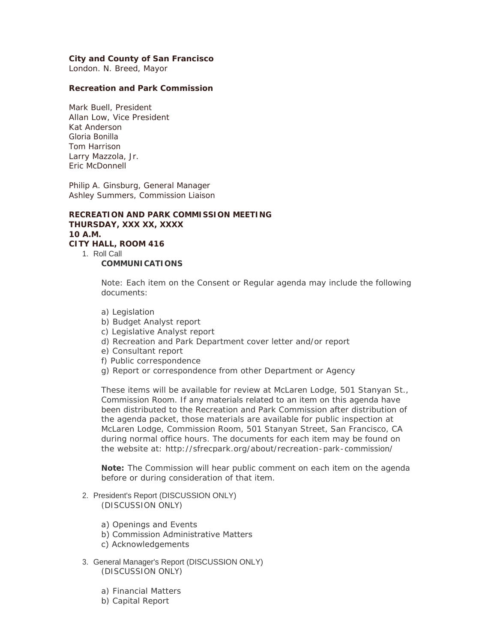### **City and County of San Francisco**

London. N. Breed, Mayor

#### **Recreation and Park Commission**

Mark Buell, President Allan Low, Vice President Kat Anderson Gloria Bonilla Tom Harrison Larry Mazzola, Jr. Eric McDonnell

Philip A. Ginsburg, General Manager Ashley Summers, Commission Liaison

**RECREATION AND PARK COMMISSION MEETING THURSDAY, XXX XX, XXXX 10 A.M. CITY HALL, ROOM 416** 1. Roll Call **COMMUNICATIONS** 

> Note: Each item on the Consent or Regular agenda may include the following documents:

- a) Legislation
- b) Budget Analyst report
- c) Legislative Analyst report
- d) Recreation and Park Department cover letter and/or report
- e) Consultant report
- f) Public correspondence
- g) Report or correspondence from other Department or Agency

These items will be available for review at McLaren Lodge, 501 Stanyan St., Commission Room. If any materials related to an item on this agenda have been distributed to the Recreation and Park Commission after distribution of the agenda packet, those materials are available for public inspection at McLaren Lodge, Commission Room, 501 Stanyan Street, San Francisco, CA during normal office hours. The documents for each item may be found on the website at: http://sfrecpark.org/about/recreation-park-commission/

**Note:** The Commission will hear public comment on each item on the agenda before or during consideration of that item.

#### 2. President's Report (DISCUSSION ONLY) (DISCUSSION ONLY)

- a) Openings and Events
- b) Commission Administrative Matters
- c) Acknowledgements
- 3. General Manager's Report (DISCUSSION ONLY) (DISCUSSION ONLY)
	- a) Financial Matters
	- b) Capital Report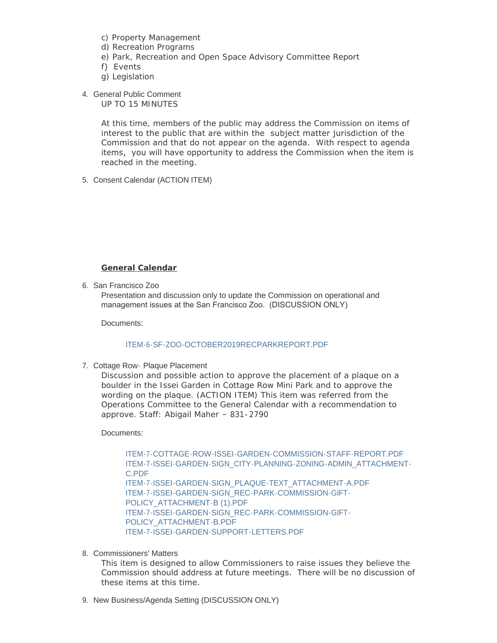- c) Property Management
- d) Recreation Programs
- e) Park, Recreation and Open Space Advisory Committee Report
- f) Events
- g) Legislation
- 4. General Public Comment

UP TO 15 MINUTES

At this time, members of the public may address the Commission on items of interest to the public that are within the subject matter jurisdiction of the Commission and that do not appear on the agenda. With respect to agenda items, you will have opportunity to address the Commission when the item is reached in the meeting.

5. Consent Calendar (ACTION ITEM)

## **General Calendar**

6. San Francisco Zoo

Presentation and discussion only to update the Commission on operational and management issues at the San Francisco Zoo. (DISCUSSION ONLY)

Documents:

## [ITEM-6-SF-ZOO-OCTOBER2019RECPARKREPORT.PDF](http://ca-sanfranciscorecandparks.civicplus.com/AgendaCenter/ViewFile/Item/43?fileID=8771)

# 7. Cottage Row- Plaque Placement

Discussion and possible action to approve the placement of a plaque on a boulder in the Issei Garden in Cottage Row Mini Park and to approve the wording on the plaque. (ACTION ITEM) This item was referred from the Operations Committee to the General Calendar with a recommendation to approve. Staff: Abigail Maher – 831-2790

#### Documents:

[ITEM-7-COTTAGE-ROW-ISSEI-GARDEN-COMMISSION-STAFF-REPORT.PDF](http://ca-sanfranciscorecandparks.civicplus.com/AgendaCenter/ViewFile/Item/58?fileID=8784) [ITEM-7-ISSEI-GARDEN-SIGN\\_CITY-PLANNING-ZONING-ADMIN\\_ATTACHMENT-](http://ca-sanfranciscorecandparks.civicplus.com/AgendaCenter/ViewFile/Item/58?fileID=8785)C.PDF [ITEM-7-ISSEI-GARDEN-SIGN\\_PLAQUE-TEXT\\_ATTACHMENT-A.PDF](http://ca-sanfranciscorecandparks.civicplus.com/AgendaCenter/ViewFile/Item/58?fileID=8786) [ITEM-7-ISSEI-GARDEN-SIGN\\_REC-PARK-COMMISSION-GIFT-](http://ca-sanfranciscorecandparks.civicplus.com/AgendaCenter/ViewFile/Item/58?fileID=8787)POLICY\_ATTACHMENT-B (1).PDF [ITEM-7-ISSEI-GARDEN-SIGN\\_REC-PARK-COMMISSION-GIFT-](http://ca-sanfranciscorecandparks.civicplus.com/AgendaCenter/ViewFile/Item/58?fileID=8788)POLICY\_ATTACHMENT-B.PDF [ITEM-7-ISSEI-GARDEN-SUPPORT-LETTERS.PDF](http://ca-sanfranciscorecandparks.civicplus.com/AgendaCenter/ViewFile/Item/58?fileID=8789)

#### 8. Commissioners' Matters

This item is designed to allow Commissioners to raise issues they believe the Commission should address at future meetings. There will be no discussion of these items at this time.

### 9. New Business/Agenda Setting (DISCUSSION ONLY)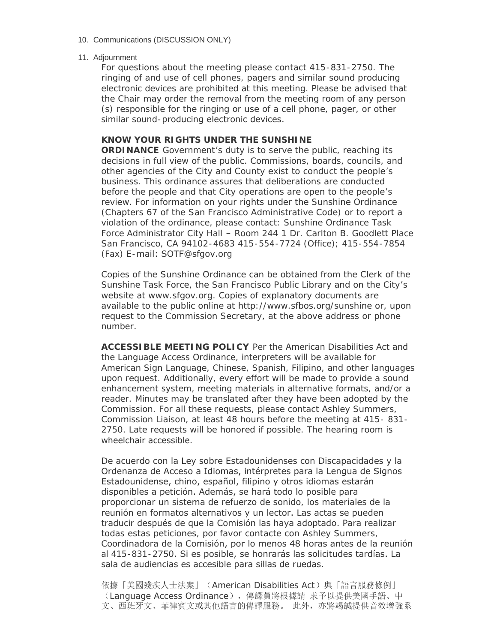### 10. Communications (DISCUSSION ONLY)

#### 11. Adjournment

For questions about the meeting please contact 415-831-2750. The ringing of and use of cell phones, pagers and similar sound producing electronic devices are prohibited at this meeting. Please be advised that the Chair may order the removal from the meeting room of any person (s) responsible for the ringing or use of a cell phone, pager, or other similar sound-producing electronic devices.

# **KNOW YOUR RIGHTS UNDER THE SUNSHINE**

**ORDINANCE** Government's duty is to serve the public, reaching its decisions in full view of the public. Commissions, boards, councils, and other agencies of the City and County exist to conduct the people's business. This ordinance assures that deliberations are conducted before the people and that City operations are open to the people's review. For information on your rights under the Sunshine Ordinance (Chapters 67 of the San Francisco Administrative Code) or to report a violation of the ordinance, please contact: Sunshine Ordinance Task Force Administrator City Hall – Room 244 1 Dr. Carlton B. Goodlett Place San Francisco, CA 94102-4683 415-554-7724 (Office); 415-554-7854 (Fax) E-mail: SOTF@sfgov.org

Copies of the Sunshine Ordinance can be obtained from the Clerk of the Sunshine Task Force, the San Francisco Public Library and on the City's website at www.sfgov.org. Copies of explanatory documents are available to the public online at http://www.sfbos.org/sunshine or, upon request to the Commission Secretary, at the above address or phone number.

**ACCESSIBLE MEETING POLICY** Per the American Disabilities Act and the Language Access Ordinance, interpreters will be available for American Sign Language, Chinese, Spanish, Filipino, and other languages upon request. Additionally, every effort will be made to provide a sound enhancement system, meeting materials in alternative formats, and/or a reader. Minutes may be translated after they have been adopted by the Commission. For all these requests, please contact Ashley Summers, Commission Liaison, at least 48 hours before the meeting at 415- 831- 2750. Late requests will be honored if possible. The hearing room is wheelchair accessible.

De acuerdo con la Ley sobre Estadounidenses con Discapacidades y la Ordenanza de Acceso a Idiomas, intérpretes para la Lengua de Signos Estadounidense, chino, español, filipino y otros idiomas estarán disponibles a petición. Además, se hará todo lo posible para proporcionar un sistema de refuerzo de sonido, los materiales de la reunión en formatos alternativos y un lector. Las actas se pueden traducir después de que la Comisión las haya adoptado. Para realizar todas estas peticiones, por favor contacte con Ashley Summers, Coordinadora de la Comisión, por lo menos 48 horas antes de la reunión al 415-831-2750. Si es posible, se honrarás las solicitudes tardías. La sala de audiencias es accesible para sillas de ruedas.

依據「美國殘疾人士法案」(American Disabilities Act)與「語言服務條例」 (Language Access Ordinance),傳譯員將根據請 求予以提供美國手語、中 文、西班牙文、菲律賓文或其他語言的傳譯服務。 此外,亦將竭誠提供音效增強系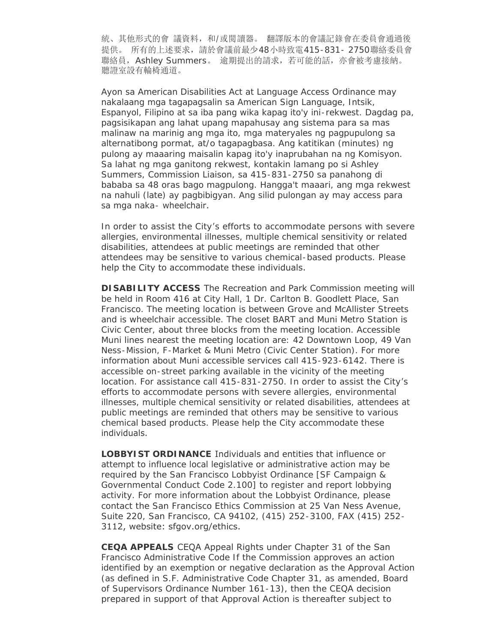統、其他形式的會 議資料, 和/或閲讀器。 翻譯版本的會議記錄會在委員會通過後 提供。 所有的上述要求,請於會議前最少48小時致電415-831- 2750聯絡委員會 聯絡員, Ashley Summers。 逾期提出的請求, 若可能的話, 亦會被考慮接納。 聽證室設有輪椅通道。

Ayon sa American Disabilities Act at Language Access Ordinance may nakalaang mga tagapagsalin sa American Sign Language, Intsik, Espanyol, Filipino at sa iba pang wika kapag ito'y ini-rekwest. Dagdag pa, pagsisikapan ang lahat upang mapahusay ang sistema para sa mas malinaw na marinig ang mga ito, mga materyales ng pagpupulong sa alternatibong pormat, at/o tagapagbasa. Ang katitikan (minutes) ng pulong ay maaaring maisalin kapag ito'y inaprubahan na ng Komisyon. Sa lahat ng mga ganitong rekwest, kontakin lamang po si Ashley Summers, Commission Liaison, sa 415-831-2750 sa panahong di bababa sa 48 oras bago magpulong. Hangga't maaari, ang mga rekwest na nahuli (late) ay pagbibigyan. Ang silid pulongan ay may access para sa mga naka- wheelchair.

In order to assist the City's efforts to accommodate persons with severe allergies, environmental illnesses, multiple chemical sensitivity or related disabilities, attendees at public meetings are reminded that other attendees may be sensitive to various chemical-based products. Please help the City to accommodate these individuals.

**DISABILITY ACCESS** The Recreation and Park Commission meeting will be held in Room 416 at City Hall, 1 Dr. Carlton B. Goodlett Place, San Francisco. The meeting location is between Grove and McAllister Streets and is wheelchair accessible. The closet BART and Muni Metro Station is Civic Center, about three blocks from the meeting location. Accessible Muni lines nearest the meeting location are: 42 Downtown Loop, 49 Van Ness-Mission, F-Market & Muni Metro (Civic Center Station). For more information about Muni accessible services call 415-923-6142. There is accessible on-street parking available in the vicinity of the meeting location. For assistance call 415-831-2750. In order to assist the City's efforts to accommodate persons with severe allergies, environmental illnesses, multiple chemical sensitivity or related disabilities, attendees at public meetings are reminded that others may be sensitive to various chemical based products. Please help the City accommodate these individuals.

**LOBBYIST ORDINANCE** Individuals and entities that influence or attempt to influence local legislative or administrative action may be required by the San Francisco Lobbyist Ordinance [SF Campaign & Governmental Conduct Code 2.100] to register and report lobbying activity. For more information about the Lobbyist Ordinance, please contact the San Francisco Ethics Commission at 25 Van Ness Avenue, Suite 220, San Francisco, CA 94102, (415) 252-3100, FAX (415) 252- 3112, website: sfgov.org/ethics.

**CEQA APPEALS** CEQA Appeal Rights under Chapter 31 of the San Francisco Administrative Code If the Commission approves an action identified by an exemption or negative declaration as the Approval Action (as defined in S.F. Administrative Code Chapter 31, as amended, Board of Supervisors Ordinance Number 161-13), then the CEQA decision prepared in support of that Approval Action is thereafter subject to